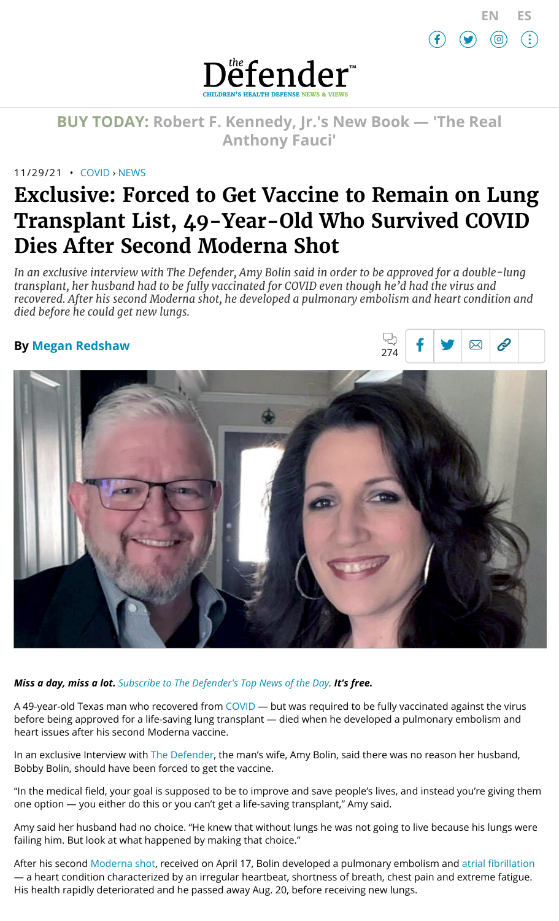

 $\hat{c}$ 

 $\overline{\mathsf{X}}$ 

ᄓ



**BUY TODAY: Robert F. [Kennedy,](https://www.amazon.com/Real-Anthony-Fauci-Democracy-Childrens/dp/1510766804) Jr.'s New Book — 'The Real Anthony Fauci'**

## 11/29/21 • [COVID](https://childrenshealthdefense.org/defender_category/covid) › [NEWS](https://childrenshealthdefense.org/defender-news)

# **Exclusive: Forced to Get Vaccine to Remain on Lung Transplant List, 49-Year-Old Who Survived COVID Dies After Second Moderna Shot**

*In an exclusive interview with The Defender, Amy Bolin said in order to be approved for a double-lung transplant, her husband had to be fully vaccinated for COVID even though he'd had the virus and recovered. After his second Moderna shot, he developed a pulmonary embolism and heart condition and died before he could get new lungs.*

## **By Megan [Redshaw](https://childrenshealthdefense.org/authors/megan-redshaw/)**



*Miss a day, miss a lot. Subscribe to [The Defender's](https://childrenshealthdefense.org/about-us/sign-up/?utm_source=top_of_article&utm_medium=the_defender&utm_campaign=sign_ups) Top News of the Day. It's free.*

A 49-year-old Texas man who recovered from [COVID](https://childrenshealthdefense.org/defender_category/covid/) - but was required to be fully vaccinated against the virus before being approved for a life-saving lung transplant — died when he developed a pulmonary embolism and heart issues after his second Moderna vaccine.

In an exclusive Interview with The [Defender](https://childrenshealthdefense.org/defender/), the man's wife, Amy Bolin, said there was no reason her husband, Bobby Bolin, should have been forced to get the vaccine.

"In the medical field, your goal is supposed to be to improve and save people's lives, and instead you're giving them one option — you either do this or you can't get a life-saving transplant," Amy said.

Amy said her husband had no choice. "He knew that without lungs he was not going to live because his lungs were failing him. But look at what happened by making that choice."

After his second [Moderna](https://childrenshealthdefense.org/defender/sharyl-attkisson-steven-gundry-pfizer-moderna-vaccines-heart-attack-risk/) shot, received on April 17, Bolin developed a pulmonary embolism and atrial [fibrillation](https://www.cdc.gov/heartdisease/atrial_fibrillation.htm) — a heart condition characterized by an irregular heartbeat, shortness of breath, chest pain and extreme fatigue. His health rapidly deteriorated and he passed away Aug. 20, before receiving new lungs.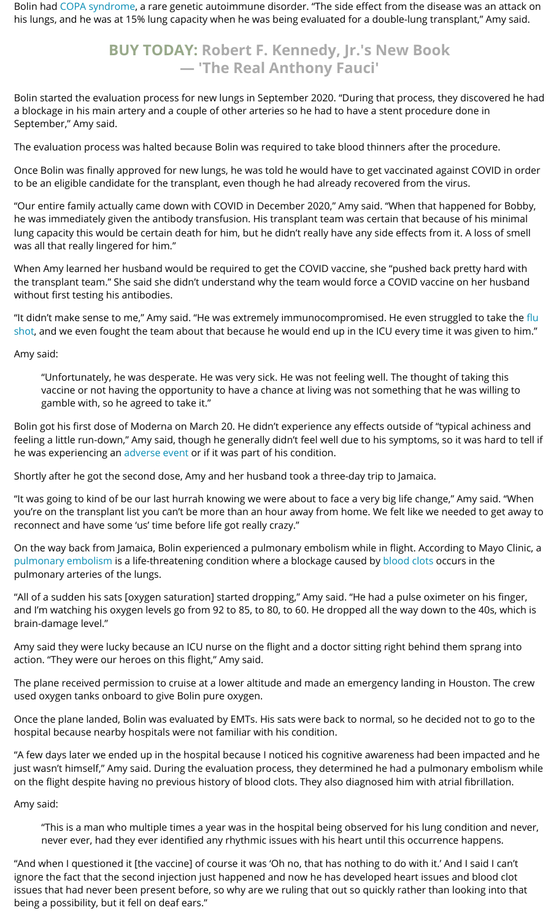Bolin had COPA [syndrome](https://rarediseases.org/rare-diseases/copa-syndrome/), a rare genetic autoimmune disorder. "The side effect from the disease was an attack on his lungs, and he was at 15% lung capacity when he was being evaluated for a double-lung transplant," Amy said.

## **BUY TODAY: Robert F. Kennedy, Jr.'s New Book — 'The [Real Anthony](https://www.amazon.com/Real-Anthony-Fauci-Democracy-Childrens/dp/1510766804) Fauci'**

Bolin started the evaluation process for new lungs in September 2020. "During that process, they discovered he had a blockage in his main artery and a couple of other arteries so he had to have a stent procedure done in September," Amy said.

The evaluation process was halted because Bolin was required to take blood thinners after the procedure.

Once Bolin was finally approved for new lungs, he was told he would have to get vaccinated against COVID in order to be an eligible candidate for the transplant, even though he had already recovered from the virus.

"Our entire family actually came down with COVID in December 2020," Amy said. "When that happened for Bobby, he was immediately given the antibody transfusion. His transplant team was certain that because of his minimal lung capacity this would be certain death for him, but he didn't really have any side effects from it. A loss of smell was all that really lingered for him."

When Amy learned her husband would be required to get the COVID vaccine, she "pushed back pretty hard with the transplant team." She said she didn't understand why the team would force a COVID vaccine on her husband without first testing his antibodies.

"It didn't make sense to me," Amy said. "He was extremely [immunocompromised. He](https://childrenshealthdefense.org/protecting-our-future/flu-shot-facts/) even struggled to take the flu shot, and we even fought the team about that because he would end up in the ICU every time it was given to him."

Amy said:

"Unfortunately, he was desperate. He was very sick. He was not feeling well. The thought of taking this vaccine or not having the opportunity to have a chance at living was not something that he was willing to gamble with, so he agreed to take it."

Bolin got his first dose of Moderna on March 20. He didn't experience any effects outside of "typical achiness and feeling a little run-down," Amy said, though he generally didn't feel well due to his symptoms, so it was hard to tell if he was experiencing an [adverse](https://childrenshealthdefense.org/defender/vaers-cdc-injuries-covid-vaccines-fda-pfizer-moderna-bosters/) event or if it was part of his condition.

Shortly after he got the second dose, Amy and her husband took a three-day trip to Jamaica.

"It was going to kind of be our last hurrah knowing we were about to face a very big life change," Amy said. "When you're on the transplant list you can't be more than an hour away from home. We felt like we needed to get away to reconnect and have some 'us' time before life got really crazy."

On the way back from Jamaica, Bolin experienced a pulmonary embolism while in flight. According to Mayo Clinic, a [pulmonary](https://www.mayoclinic.org/diseases-conditions/pulmonary-embolism/symptoms-causes/syc-20354647) embolism is a life-threatening condition where a blockage caused by [blood clots](https://childrenshealthdefense.org/defender/man-dies-moderna-vaccine-rare-blood-clotting-disorder/) occurs in the pulmonary arteries of the lungs.

"All of a sudden his sats [oxygen saturation] started dropping," Amy said. "He had a pulse oximeter on his finger, and I'm watching his oxygen levels go from 92 to 85, to 80, to 60. He dropped all the way down to the 40s, which is brain-damage level."

Amy said they were lucky because an ICU nurse on the flight and a doctor sitting right behind them sprang into action. "They were our heroes on this flight," Amy said.

The plane received permission to cruise at a lower altitude and made an emergency landing in Houston. The crew used oxygen tanks onboard to give Bolin pure oxygen.

Once the plane landed, Bolin was evaluated by EMTs. His sats were back to normal, so he decided not to go to the hospital because nearby hospitals were not familiar with his condition.

"A few days later we ended up in the hospital because I noticed his cognitive awareness had been impacted and he just wasn't himself," Amy said. During the evaluation process, they determined he had a pulmonary embolism while on the flight despite having no previous history of blood clots. They also diagnosed him with atrial fibrillation.

Amy said:

"This is a man who multiple times a year was in the hospital being observed for his lung condition and never, never ever, had they ever identified any rhythmic issues with his heart until this occurrence happens.

"And when I questioned it [the vaccine] of course it was 'Oh no, that has nothing to do with it.' And I said I can't ignore the fact that the second injection just happened and now he has developed heart issues and blood clot issues that had never been present before, so why are we ruling that out so quickly rather than looking into that being a possibility, but it fell on deaf ears."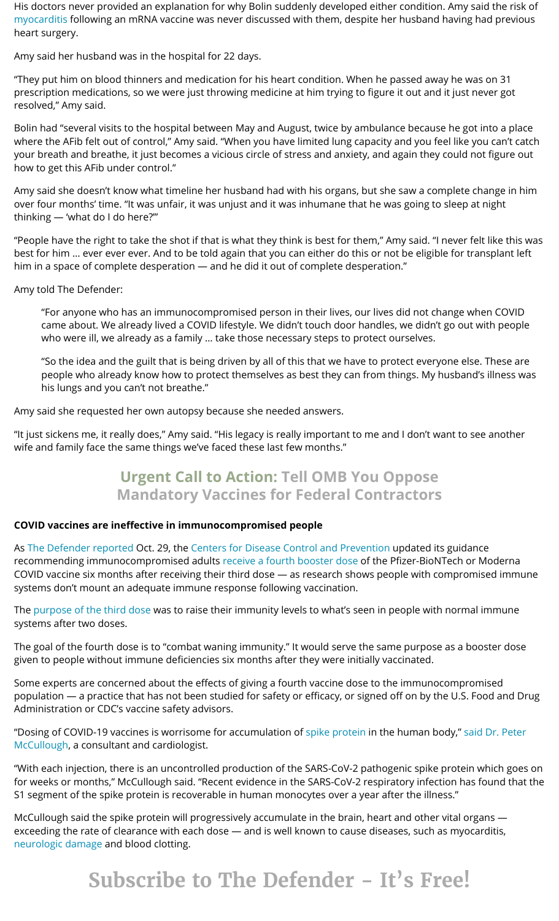His doctors never provided an explanation for why Bolin suddenly developed either condition. Amy said the risk of [myocarditis](https://childrenshealthdefense.org/defender/fda-moderna-pfizer-covid-vaccine-teens-myocarditis/) following an mRNA vaccine was never discussed with them, despite her husband having had previous heart surgery.

Amy said her husband was in the hospital for 22 days.

"They put him on blood thinners and medication for his heart condition. When he passed away he was on 31 prescription medications, so we were just throwing medicine at him trying to figure it out and it just never got resolved," Amy said.

Bolin had "several visits to the hospital between May and August, twice by ambulance because he got into a place where the AFib felt out of control," Amy said. "When you have limited lung capacity and you feel like you can't catch your breath and breathe, it just becomes a vicious circle of stress and anxiety, and again they could not figure out how to get this AFib under control."

Amy said she doesn't know what timeline her husband had with his organs, but she saw a complete change in him over four months' time. "It was unfair, it was unjust and it was inhumane that he was going to sleep at night thinking — 'what do I do here?'"

"People have the right to take the shot if that is what they think is best for them," Amy said. "I never felt like this was best for him … ever ever ever. And to be told again that you can either do this or not be eligible for transplant left him in a space of complete desperation — and he did it out of complete desperation."

Amy told The Defender:

"For anyone who has an immunocompromised person in their lives, our lives did not change when COVID came about. We already lived a COVID lifestyle. We didn't touch door handles, we didn't go out with people who were ill, we already as a family … take those necessary steps to protect ourselves.

"So the idea and the guilt that is being driven by all of this that we have to protect everyone else. These are people who already know how to protect themselves as best they can from things. My husband's illness was his lungs and you can't not breathe."

Amy said she requested her own autopsy because she needed answers.

"It just sickens me, it really does," Amy said. "His legacy is really important to me and I don't want to see another wife and family face the same things we've faced these last few months."

# **Urgent Call to Action: Tell OMB You Oppose Mandatory Vaccines for [Federal Contractors](https://childrenshealthdefense.org/defender/action-omb-oppose-mandatory-vaccines-federal-contractors/)**

## **COVID vaccines are ineffective in immunocompromised people**

As The [Defender](https://childrenshealthdefense.org/defender/covid-vaccine-spike-protein-travels-from-injection-site-organ-damage/) reported Oct. 29, the Centers for Disease Control [and Prevention](https://www.cdc.gov/vaccines/covid-19/clinical-considerations/covid-19-vaccines-us.html) updated its guidance recommending immunocompromised adults receive a fourth [booster](https://childrenshealthdefense.org/defender/cdc-immunocompromised-fourth-covid-vaccine-booster/) dose of the Pfizer-BioNTech or Moderna COVID vaccine six months after receiving their third dose — as research shows people with compromised immune systems don't mount an adequate immune response following vaccination.

The purpose of the [third dose](https://www.nbcnews.com/health/health-news/immunocompromised-people-can-receive-4th-covid-shot-cdc-says-rcna3933) was to raise their immunity levels to what's seen in people with normal immune systems after two doses.

The goal of the fourth dose is to "combat waning immunity." It would serve the same purpose as a booster dose given to people without immune deficiencies six months after they were initially vaccinated.

Some experts are concerned about the effects of giving a fourth vaccine dose to the immunocompromised population — a practice that has not been studied for safety or efficacy, or signed off on by the U.S. Food and Drug Administration or CDC's vaccine safety advisors.

"Dosing of COVID-19 vaccines is worrisome for accumulation of spike [protein](https://childrenshealthdefense.org/defender/covid-vaccine-spike-protein-travels-from-injection-site-organ-damage/) in the human body," said Dr. Peter McCullough, a consultant [and cardiologist.](https://childrenshealthdefense.org/defender/cdc-immunocompromised-fourth-covid-vaccine-booster/)

"With each injection, there is an uncontrolled production of the SARS-CoV-2 pathogenic spike protein which goes on for weeks or months," McCullough said. "Recent evidence in the SARS-CoV-2 respiratory infection has found that the S1 segment of the spike protein is recoverable in human monocytes over a year after the illness."

McCullough said the spike protein will progressively accumulate in the brain, heart and other vital organs exceeding the rate of clearance with each dose — and is well known to cause diseases, such as myocarditis, [neurologic damage](https://childrenshealthdefense.org/defender/sarah-green-16-year-old-neurological-symptoms-pfizer-vaccine/) and blood clotting.

# **Subscribe to The Defender - It's Free!**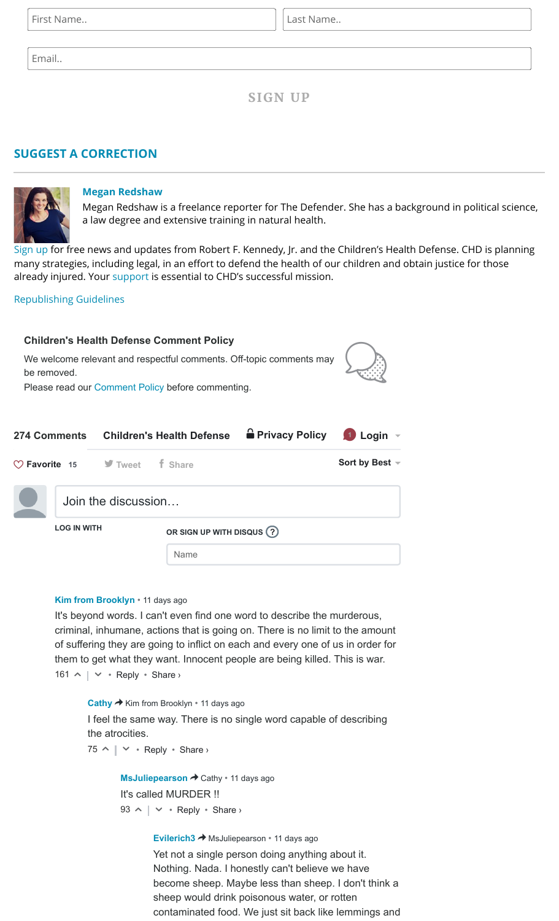First Name.. **Last Name.. Last Name..** 

Email..

**SIGN UP**

## **SUGGEST A [CORRECTION](https://childrenshealthdefense.org/suggest-a-correction/)**



### **Megan [Redshaw](https://childrenshealthdefense.org/authors/megan-redshaw/)**

Megan Redshaw is a freelance reporter for The Defender. She has a background in political science, a law degree and extensive training in natural health.

[Sign](https://childrenshealthdefense.org/about-us/sign-up/) up for free news and updates from Robert F. Kennedy, Jr. and the Children's Health Defense. CHD is planning many strategies, including legal, in an effort to defend the health of our children and obtain justice for those already injured. Your [support](https://childrenshealthdefense.org/about-us/donate/) is essential to CHD's successful mission.

## [Republishing](https://childrenshealthdefense.org/uncategorized/re-publishing-guidelines/) Guidelines

# <span id="page-3-0"></span> $\mathbb{Q}$ **274 Comments** [Children's Health Defense](https://disqus.com/home/forums/childrenshealthdefense/)  $\mathbf{\hat{\mathbf{e}}}$  [Privacy Policy](https://help.disqus.com/customer/portal/articles/466259-privacy-policy) **1** Login  $\mathbf{\hat{\mathbf{e}}}$ **t** Tweet **f** Share **Sort by Best**  $\sim$ **LOG IN WITH OR SIGN UP WITH DISQUS ?** Name Join the discussion… **Children's Health Defense Comment Policy** We welcome relevant and respectful comments. Off-topic comments may be removed. Please read our [Comment Policy](https://childrenshealthdefense.org/the-defenders-comment-policy/) before commenting. **Favorite 15**

#### **[Kim from Brooklyn](https://disqus.com/by/kimsojak/)** • [11 days ago](https://childrenshealthdefense.org/defender/bobby-amy-bolin-lung-transplant-dies-moderna-covid-vaccine/#comment-5626648260)

 $161 \wedge | \vee \cdot \text{Reply} \cdot \text{Share} \rangle$ It's beyond words. I can't even find one word to describe the murderous, criminal, inhumane, actions that is going on. There is no limit to the amount of suffering they are going to inflict on each and every one of us in order for them to get what they want. Innocent people are being killed. This is war.

[Cathy](https://disqus.com/by/disqus_5oxI634a1U/) → Kim from Brooklyn • [11 days ago](https://childrenshealthdefense.org/defender/bobby-amy-bolin-lung-transplant-dies-moderna-covid-vaccine/#comment-5626702438)  $75 \wedge | \vee \cdot \text{Reply} \cdot \text{Share} \rangle$ I feel the same way. There is no single word capable of describing the atrocities.

> **[MsJuliepearson](https://disqus.com/by/msjuliepearson/) →** Cathy • [11 days ago](https://childrenshealthdefense.org/defender/bobby-amy-bolin-lung-transplant-dies-moderna-covid-vaccine/#comment-5626805303)  $93 \wedge | \vee \cdot \text{Reply} \cdot \text{Share} \rangle$ It's called MURDER !!

> > **[Evilerich3](https://disqus.com/by/evilerich3/) →** [MsJuliepearson](https://childrenshealthdefense.org/defender/bobby-amy-bolin-lung-transplant-dies-moderna-covid-vaccine/#comment-5626805303) • [11 days ago](https://childrenshealthdefense.org/defender/bobby-amy-bolin-lung-transplant-dies-moderna-covid-vaccine/#comment-5626862310)

Yet not a single person doing anything about it. Nothing. Nada. I honestly can't believe we have become sheep. Maybe less than sheep. I don't think a sheep would drink poisonous water, or rotten contaminated food. We just sit back like lemmings and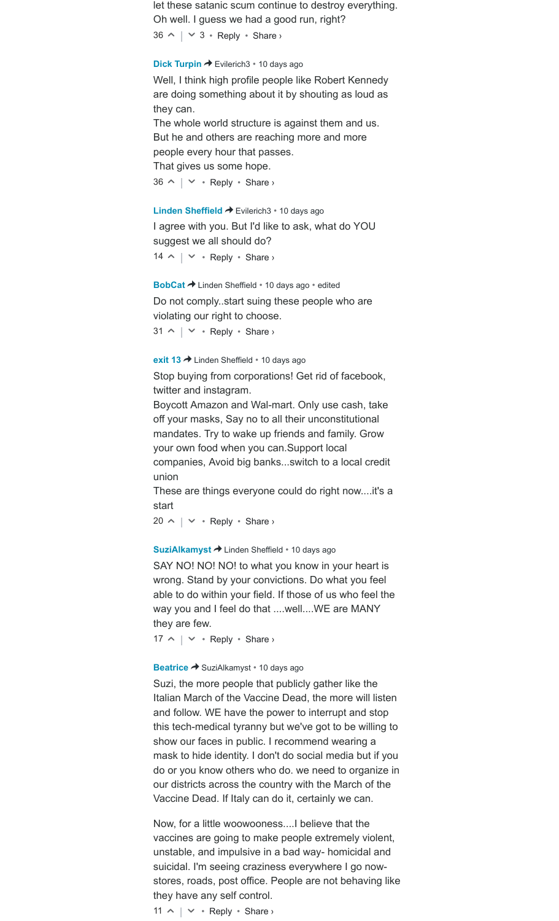$36 \wedge \vert \vee 3 \cdot \text{Reply} \cdot \text{Share} \rangle$ let these satanic scum continue to destroy everything. Oh well. I guess we had a good run, right?

#### **[Dick Turpin](https://disqus.com/by/disqus_Q8qz43JPhC/) →** Evilerich3 • [10 days ago](https://childrenshealthdefense.org/defender/bobby-amy-bolin-lung-transplant-dies-moderna-covid-vaccine/#comment-5627446650)

Well, I think high profile people like Robert Kennedy are doing something about it by shouting as loud as they can. The whole world structure is against them and us. But he and others are reaching more and more people every hour that passes.

That gives us some hope.

 $36 \wedge \vert \vee \cdot$  Reply  $\cdot$  Share  $\vee$ 

#### [Linden Sheffield](https://disqus.com/by/lindensheffield/) → Evilerich3 • [10 days ago](https://childrenshealthdefense.org/defender/bobby-amy-bolin-lung-transplant-dies-moderna-covid-vaccine/#comment-5627175851)

 $14 \wedge | \vee \cdot \text{Reply} \cdot \text{Share} \rangle$ I agree with you. But I'd like to ask, what do YOU suggest we all should do?

**[BobCat](https://disqus.com/by/discuss60/) →** Linden Sheffield • [10 days ago](https://childrenshealthdefense.org/defender/bobby-amy-bolin-lung-transplant-dies-moderna-covid-vaccine/#comment-5627261394) • edited

Do not comply..start suing these people who are violating our right to choose.

 $31 \wedge \vert \vee \cdot$  Reply  $\cdot$  Share  $\vee$ 

#### **[exit 13](https://disqus.com/by/miked4421/) →** Linden Sheffield • [10 days ago](https://childrenshealthdefense.org/defender/bobby-amy-bolin-lung-transplant-dies-moderna-covid-vaccine/#comment-5627878009)

Stop buying from corporations! Get rid of facebook, twitter and instagram.

Boycott Amazon and Wal-mart. Only use cash, take off your masks, Say no to all their unconstitutional mandates. Try to wake up friends and family. Grow your own food when you can.Support local companies, Avoid big banks...switch to a local credit union

These are things everyone could do right now....it's a start

 $20 \wedge | \vee \cdot \text{Reply} \cdot \text{Share} \rangle$ 

#### **[SuziAlkamyst](https://disqus.com/by/SuziAlkamyst/) →** Linden Sheffield • [10 days ago](https://childrenshealthdefense.org/defender/bobby-amy-bolin-lung-transplant-dies-moderna-covid-vaccine/#comment-5627343540)

SAY NO! NO! NO! to what you know in your heart is wrong. Stand by your convictions. Do what you feel able to do within your field. If those of us who feel the way you and I feel do that ....well....WE are MANY they are few.

 $17 \wedge | \vee \cdot \text{Reply} \cdot \text{Share} \rangle$ 

#### **[Beatrice](https://disqus.com/by/disqus_Ybo7LggX2x/) →** SuziAlkamyst • [10 days ago](https://childrenshealthdefense.org/defender/bobby-amy-bolin-lung-transplant-dies-moderna-covid-vaccine/#comment-5627942591)

Suzi, the more people that publicly gather like the Italian March of the Vaccine Dead, the more will listen and follow. WE have the power to interrupt and stop this tech-medical tyranny but we've got to be willing to show our faces in public. I recommend wearing a mask to hide identity. I don't do social media but if you do or you know others who do. we need to organize in our districts across the country with the March of the Vaccine Dead. If Italy can do it, certainly we can.

Now, for a little woowooness....I believe that the vaccines are going to make people extremely violent, unstable, and impulsive in a bad way- homicidal and suicidal. I'm seeing craziness everywhere I go nowstores, roads, post office. People are not behaving like they have any self control.

```
11 \land \mid \lor \cdot Reply \cdot Share >
```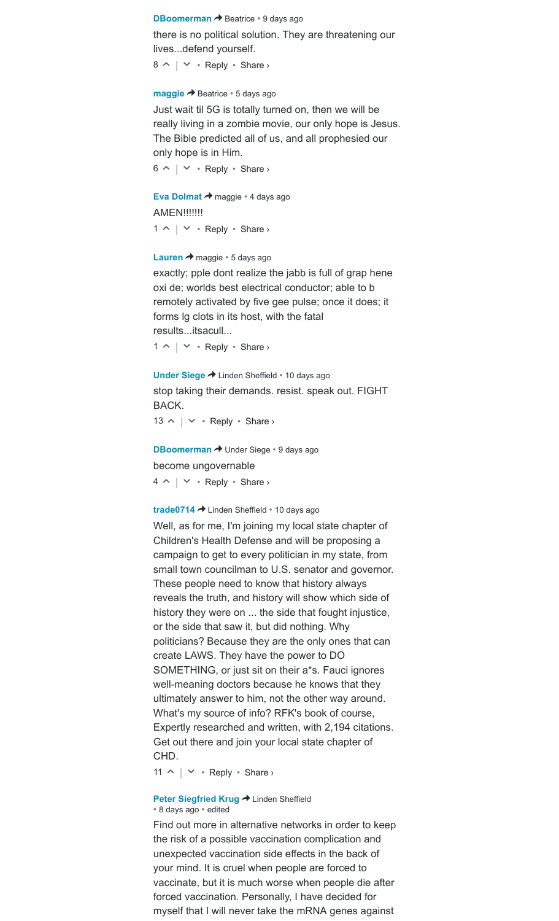#### **[DBoomerman](https://disqus.com/by/dboomerman/) →** Beatrice • [9 days ago](https://childrenshealthdefense.org/defender/bobby-amy-bolin-lung-transplant-dies-moderna-covid-vaccine/#comment-5628329182)

there is no political solution. They are threatening our lives...defend yourself.

 $8 \wedge \vert \vee \cdot$  Reply  $\cdot$  Share  $\vee$ 

#### **[maggie](https://disqus.com/by/disqus_HVJSQT14ul/) →** Beatrice • [5 days ago](https://childrenshealthdefense.org/defender/bobby-amy-bolin-lung-transplant-dies-moderna-covid-vaccine/#comment-5634691817)

 $6 \wedge \vert \vee \cdot$  Reply  $\cdot$  Share  $\vee$ Just wait til 5G is totally turned on, then we will be really living in a zombie movie, our only hope is Jesus. The Bible predicted all of us, and all prophesied our only hope is in Him.

**[Eva Dolmat](https://disqus.com/by/lilhoneybear/) →** maggie • [4 days ago](https://childrenshealthdefense.org/defender/bobby-amy-bolin-lung-transplant-dies-moderna-covid-vaccine/#comment-5635140515)  $1 \wedge \vert \vee \cdot$  Reply  $\cdot$  Share  $\vee$ **AMEN!!!!!!!!** 

#### **[Lauren](https://disqus.com/by/disqus_nU9fVsmHx7/) →** maggie • [5 days ago](https://childrenshealthdefense.org/defender/bobby-amy-bolin-lung-transplant-dies-moderna-covid-vaccine/#comment-5634730762)

exactly; pple dont realize the jabb is full of grap hene oxi de; worlds best electrical conductor; able to b remotely activated by five gee pulse; once it does; it forms lg clots in its host, with the fatal results...itsacull...

 $1 \wedge \vert \vee \cdot$  Reply  $\cdot$  Share  $\vee$ 

**[Under Siege](https://disqus.com/by/teab4coolaid/) →** Linden Sheffield • [10 days ago](https://childrenshealthdefense.org/defender/bobby-amy-bolin-lung-transplant-dies-moderna-covid-vaccine/#comment-5627579887)

stop taking their demands. resist. speak out. FIGHT BACK.

 $13 \wedge | \vee \cdot \text{Reply} \cdot \text{Share} \rangle$ 

**[DBoomerman](https://disqus.com/by/dboomerman/) →** Under Siege • [9 days ago](https://childrenshealthdefense.org/defender/bobby-amy-bolin-lung-transplant-dies-moderna-covid-vaccine/#comment-5628329520)  $4 \wedge | \vee \cdot \text{Reply} \cdot \text{Share} \rangle$ become ungovernable

#### **[trade0714](https://disqus.com/by/trade0714/) →** Linden Sheffield • [10 days ago](https://childrenshealthdefense.org/defender/bobby-amy-bolin-lung-transplant-dies-moderna-covid-vaccine/#comment-5627482218)

Well, as for me, I'm joining my local state chapter of Children's Health Defense and will be proposing a campaign to get to every politician in my state, from small town councilman to U.S. senator and governor. These people need to know that history always reveals the truth, and history will show which side of history they were on ... the side that fought injustice, or the side that saw it, but did nothing. Why politicians? Because they are the only ones that can create LAWS. They have the power to DO SOMETHING, or just sit on their a\*s. Fauci ignores well-meaning doctors because he knows that they ultimately answer to him, not the other way around. What's my source of info? RFK's book of course, Expertly researched and written, with 2,194 citations. Get out there and join your local state chapter of CHD.

11  $\land \mid \lor \cdot$  Reply  $\cdot$  Share >

#### **[Peter Siegfried Krug](https://disqus.com/by/disqus_tTHIEenRqb/) → [Linden Sheffield](https://childrenshealthdefense.org/defender/bobby-amy-bolin-lung-transplant-dies-moderna-covid-vaccine/#comment-5627175851)** • [8 days ago](https://childrenshealthdefense.org/defender/bobby-amy-bolin-lung-transplant-dies-moderna-covid-vaccine/#comment-5630909038) • edited

Find out more in alternative networks in order to keep the risk of a possible vaccination complication and unexpected vaccination side effects in the back of your mind. It is cruel when people are forced to vaccinate, but it is much worse when people die after forced vaccination. Personally, I have decided for myself that I will never take the mRNA genes against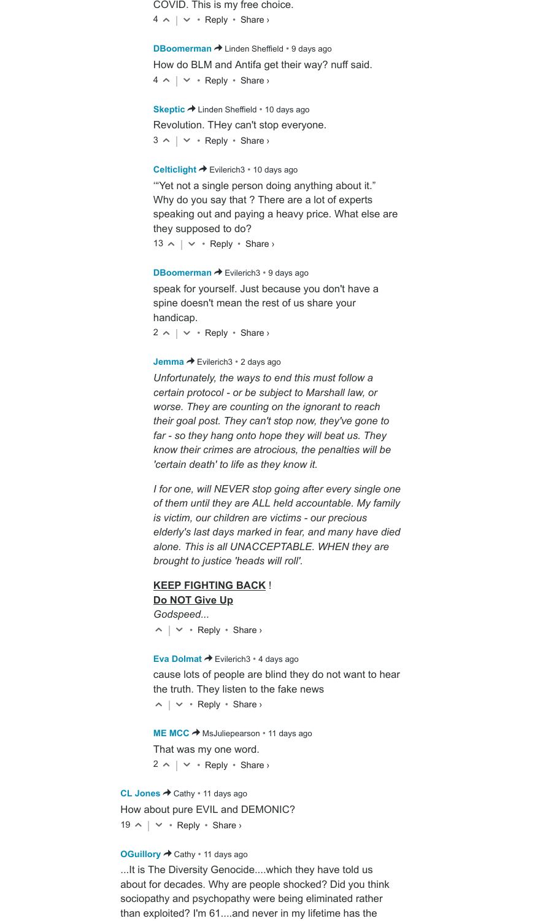$4 \wedge |\vee \cdot \text{Reply} \cdot \text{Share} \rangle$ COVID. This is my free choice.

**[DBoomerman](https://disqus.com/by/dboomerman/) →** Linden Sheffield • [9 days ago](https://childrenshealthdefense.org/defender/bobby-amy-bolin-lung-transplant-dies-moderna-covid-vaccine/#comment-5628328442)  $4 \wedge |\vee \cdot \text{Reply} \cdot \text{Share} \rangle$ How do BLM and Antifa get their way? nuff said.

**[Skeptic](https://disqus.com/by/nos23/) →** Linden Sheffield • [10 days ago](https://childrenshealthdefense.org/defender/bobby-amy-bolin-lung-transplant-dies-moderna-covid-vaccine/#comment-5628163531)  $3 \wedge \vert \vee \cdot$  Reply  $\cdot$  Share  $\vee$ Revolution. THey can't stop everyone.

#### [Celticlight](https://disqus.com/by/Celticlight/) → Evilerich3 • [10 days ago](https://childrenshealthdefense.org/defender/bobby-amy-bolin-lung-transplant-dies-moderna-covid-vaccine/#comment-5627711539)

 $13 \wedge \vert \vee \cdot$  Reply  $\cdot$  Share > '"Yet not a single person doing anything about it." Why do you say that ? There are a lot of experts speaking out and paying a heavy price. What else are they supposed to do?

**[DBoomerman](https://disqus.com/by/dboomerman/) →** Evilerich3 • [9 days ago](https://childrenshealthdefense.org/defender/bobby-amy-bolin-lung-transplant-dies-moderna-covid-vaccine/#comment-5628327973)

speak for yourself. Just because you don't have a spine doesn't mean the rest of us share your handicap.

 $2 \wedge | \vee \cdot \text{Reply} \cdot \text{Share} \rangle$ 

#### **[Jemma](https://disqus.com/by/Jemma11/) →** Evilerich3 • [2 days ago](https://childrenshealthdefense.org/defender/bobby-amy-bolin-lung-transplant-dies-moderna-covid-vaccine/#comment-5638430607)

*Unfortunately, the ways to end this must follow a certain protocol - or be subject to Marshall law, or worse. They are counting on the ignorant to reach their goal post. They can't stop now, they've gone to far - so they hang onto hope they will beat us. They know their crimes are atrocious, the penalties will be 'certain death' to life as they know it.*

*I for one, will NEVER stop going after every single one of them until they are ALL held accountable. My family is victim, our children are victims - our precious elderly's last days marked in fear, and many have died alone. This is all UNACCEPTABLE. WHEN they are brought to justice 'heads will roll'.*

## **KEEP FIGHTING BACK** ! **Do NOT Give Up** *Godspeed...*

 $\wedge$  |  $\vee$  • Reply • Share ›

**[Eva Dolmat](https://disqus.com/by/lilhoneybear/) →** Evilerich3 • [4 days ago](https://childrenshealthdefense.org/defender/bobby-amy-bolin-lung-transplant-dies-moderna-covid-vaccine/#comment-5635139213)  $\wedge$  |  $\vee$  • Reply • Share › cause lots of people are blind they do not want to hear the truth. They listen to the fake news

**[ME MCC](https://disqus.com/by/maryelizabethmcclellan/) →** MsJuliepearson • [11 days ago](https://childrenshealthdefense.org/defender/bobby-amy-bolin-lung-transplant-dies-moderna-covid-vaccine/#comment-5626895892)  $2 \wedge | \vee \cdot \text{Reply} \cdot \text{Share} \rangle$ That was my one word.

[CL Jones](https://disqus.com/by/disqus_zG9d839jqF/) → Cathy • [11 days ago](https://childrenshealthdefense.org/defender/bobby-amy-bolin-lung-transplant-dies-moderna-covid-vaccine/#comment-5626963202) 19  $\land \mid \lor \cdot$  Reply  $\cdot$  Share > How about pure EVIL and DEMONIC?

### **[OGuillory](https://disqus.com/by/OGuillory/) → [Cathy](https://childrenshealthdefense.org/defender/bobby-amy-bolin-lung-transplant-dies-moderna-covid-vaccine/#comment-5626702438)** • [11 days ago](https://childrenshealthdefense.org/defender/bobby-amy-bolin-lung-transplant-dies-moderna-covid-vaccine/#comment-5626922944)

...It is The Diversity Genocide....which they have told us about for decades. Why are people shocked? Did you think sociopathy and psychopathy were being eliminated rather than exploited? I'm 61....and never in my lifetime has the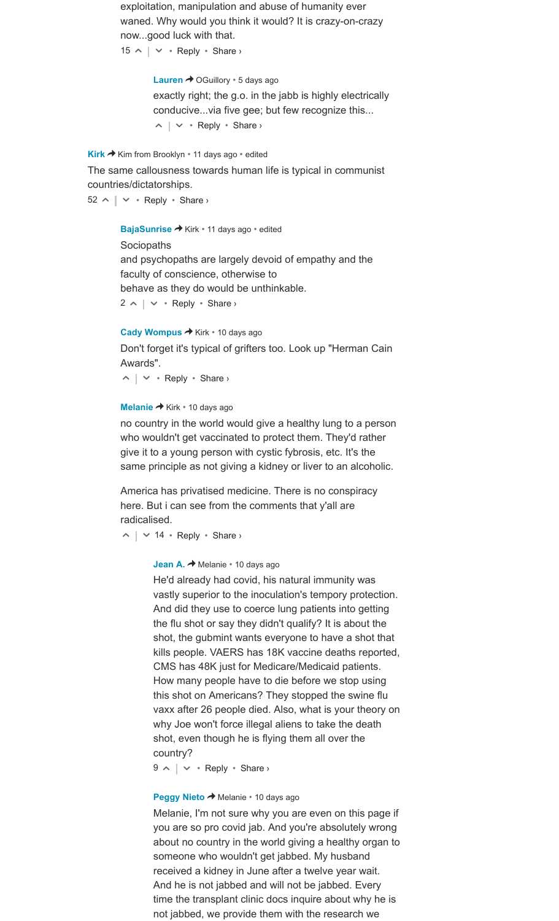exploitation, manipulation and abuse of humanity ever waned. Why would you think it would? It is crazy-on-crazy now...good luck with that.

 $15 \wedge \vert \vee \cdot$  Reply  $\cdot$  Share >

**[Lauren](https://disqus.com/by/disqus_nU9fVsmHx7/) →** OGuillory • [5 days ago](https://childrenshealthdefense.org/defender/bobby-amy-bolin-lung-transplant-dies-moderna-covid-vaccine/#comment-5634732103)  $\wedge$  |  $\vee$  • Reply • Share › exactly right; the g.o. in the jabb is highly electrically conducive...via five gee; but few recognize this...

[Kirk](https://disqus.com/by/disqus_DzqyJnjIIt/) → Kim from Brooklyn • [11 days ago](https://childrenshealthdefense.org/defender/bobby-amy-bolin-lung-transplant-dies-moderna-covid-vaccine/#comment-5626824757) • edited

The same callousness towards human life is typical in communist countries/dictatorships.

 $52 \wedge | \vee \cdot \text{Reply} \cdot \text{Share} \rangle$ 

**[BajaSunrise](https://disqus.com/by/barbara_spencer/) → Kirk • [11 days ago](https://childrenshealthdefense.org/defender/bobby-amy-bolin-lung-transplant-dies-moderna-covid-vaccine/#comment-5626856084) • edited** 

 $2 \wedge | \vee \cdot \text{Reply} \cdot \text{Share} \rangle$ **Sociopaths** and psychopaths are largely devoid of empathy and the faculty of conscience, otherwise to behave as they do would be unthinkable.

[Cady Wompus](https://disqus.com/by/disqus_JJm2yKIfMU/) → Kirk • [10 days ago](https://childrenshealthdefense.org/defender/bobby-amy-bolin-lung-transplant-dies-moderna-covid-vaccine/#comment-5627872872)

Don't forget it's typical of grifters too. Look up "Herman Cain Awards".

 $\wedge$  |  $\vee$  • Reply • Share ›

#### **[Melanie](https://disqus.com/by/disqus_3x90bEI6wI/) →** Kirk • [10 days ago](https://childrenshealthdefense.org/defender/bobby-amy-bolin-lung-transplant-dies-moderna-covid-vaccine/#comment-5628009141)

no country in the world would give a healthy lung to a person who wouldn't get vaccinated to protect them. They'd rather give it to a young person with cystic fybrosis, etc. It's the same principle as not giving a kidney or liver to an alcoholic.

America has privatised medicine. There is no conspiracy here. But i can see from the comments that y'all are radicalised.

 $\sim$  |  $\sim$  14 • Reply • Share ›

**[Jean A.](https://disqus.com/by/disqus_JGFgAmwg23/) →** Melanie • [10 days ago](https://childrenshealthdefense.org/defender/bobby-amy-bolin-lung-transplant-dies-moderna-covid-vaccine/#comment-5628272268)

He'd already had covid, his natural immunity was vastly superior to the inoculation's tempory protection. And did they use to coerce lung patients into getting the flu shot or say they didn't qualify? It is about the shot, the gubmint wants everyone to have a shot that kills people. VAERS has 18K vaccine deaths reported, CMS has 48K just for Medicare/Medicaid patients. How many people have to die before we stop using this shot on Americans? They stopped the swine flu vaxx after 26 people died. Also, what is your theory on why Joe won't force illegal aliens to take the death shot, even though he is flying them all over the country?

 $9 \wedge | \vee \cdot$  Reply  $\cdot$  Share  $\vee$ 

#### **[Peggy Nieto](https://disqus.com/by/peggynieto/) → [Melanie](https://childrenshealthdefense.org/defender/bobby-amy-bolin-lung-transplant-dies-moderna-covid-vaccine/#comment-5628009141) • [10 days ago](https://childrenshealthdefense.org/defender/bobby-amy-bolin-lung-transplant-dies-moderna-covid-vaccine/#comment-5628141023)**

Melanie, I'm not sure why you are even on this page if you are so pro covid jab. And you're absolutely wrong about no country in the world giving a healthy organ to someone who wouldn't get jabbed. My husband received a kidney in June after a twelve year wait. And he is not jabbed and will not be jabbed. Every time the transplant clinic docs inquire about why he is not jabbed, we provide them with the research we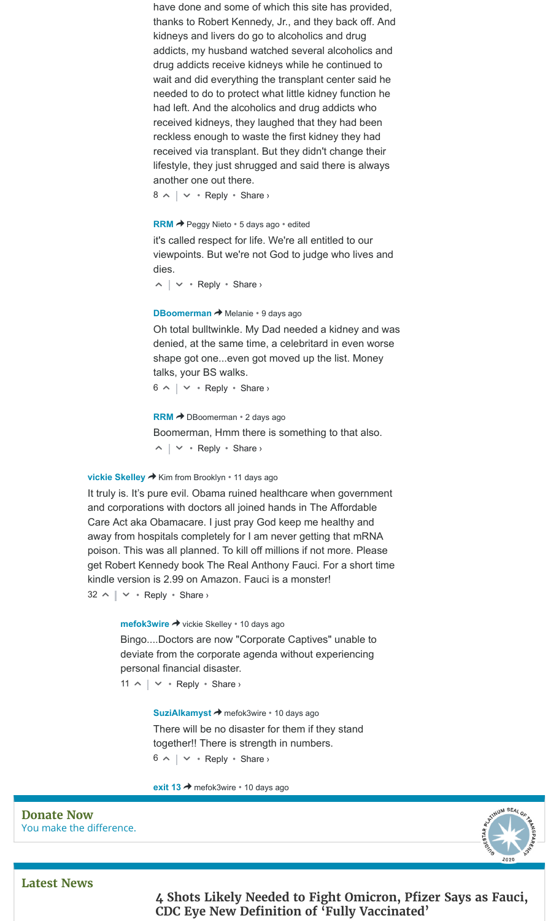have done and some of which this site has provided, thanks to Robert Kennedy, Jr., and they back off. And kidneys and livers do go to alcoholics and drug addicts, my husband watched several alcoholics and drug addicts receive kidneys while he continued to wait and did everything the transplant center said he needed to do to protect what little kidney function he had left. And the alcoholics and drug addicts who received kidneys, they laughed that they had been reckless enough to waste the first kidney they had received via transplant. But they didn't change their lifestyle, they just shrugged and said there is always another one out there.

 $8 \wedge \vert \vee \cdot$  Reply  $\cdot$  Share  $\vee$ 

#### **[RRM](https://disqus.com/by/RRm87/) →** Peggy Nieto • [5 days ago](https://childrenshealthdefense.org/defender/bobby-amy-bolin-lung-transplant-dies-moderna-covid-vaccine/#comment-5634940835) • edited

it's called respect for life. We're all entitled to our viewpoints. But we're not God to judge who lives and dies.

 $\wedge$  |  $\vee$  • Reply • Share ›

#### **[DBoomerman](https://disqus.com/by/dboomerman/) →** Melanie • [9 days ago](https://childrenshealthdefense.org/defender/bobby-amy-bolin-lung-transplant-dies-moderna-covid-vaccine/#comment-5628330505)

Oh total bulltwinkle. My Dad needed a kidney and was denied, at the same time, a celebritard in even worse shape got one...even got moved up the list. Money talks, your BS walks.

 $6 \wedge$  |  $\vee$  • Reply • Share ›

**[RRM](https://disqus.com/by/RRm87/) → DBoomerman • [2 days ago](https://childrenshealthdefense.org/defender/bobby-amy-bolin-lung-transplant-dies-moderna-covid-vaccine/#comment-5637635205)**  $\wedge$  |  $\vee$  • Reply • Share › Boomerman, Hmm there is something to that also.

#### **[vickie Skelley](https://disqus.com/by/vickieskelley/) →** Kim from Brooklyn • [11 days ago](https://childrenshealthdefense.org/defender/bobby-amy-bolin-lung-transplant-dies-moderna-covid-vaccine/#comment-5626853248)

 $32 \wedge \vert \vee \cdot$  Reply  $\cdot$  Share  $\vee$ It truly is. It's pure evil. Obama ruined healthcare when government and corporations with doctors all joined hands in The Affordable Care Act aka Obamacare. I just pray God keep me healthy and away from hospitals completely for I am never getting that mRNA poison. This was all planned. To kill off millions if not more. Please get Robert Kennedy book The Real Anthony Fauci. For a short time kindle version is 2.99 on Amazon. Fauci is a monster!

#### **[mefok3wire](https://disqus.com/by/mefok3wire/) →** vickie Skelley • [10 days ago](https://childrenshealthdefense.org/defender/bobby-amy-bolin-lung-transplant-dies-moderna-covid-vaccine/#comment-5627110940)

Bingo....Doctors are now "Corporate Captives" unable to deviate from the corporate agenda without experiencing personal financial disaster.

```
11 \land \mid \lor \cdot Reply \cdot Share >
```
**[SuziAlkamyst](https://disqus.com/by/SuziAlkamyst/) →** mefok3wire • [10 days ago](https://childrenshealthdefense.org/defender/bobby-amy-bolin-lung-transplant-dies-moderna-covid-vaccine/#comment-5627345762)  $6 \wedge$  |  $\vee$  • Reply • Share › There will be no disaster for them if they stand together!! There is strength in numbers.

#### **[exit 13](https://disqus.com/by/miked4421/) →** [mefok3wire](https://childrenshealthdefense.org/defender/bobby-amy-bolin-lung-transplant-dies-moderna-covid-vaccine/#comment-5627110940) • [10 days ago](https://childrenshealthdefense.org/defender/bobby-amy-bolin-lung-transplant-dies-moderna-covid-vaccine/#comment-5627882360)

You make the [difference.](https://childrenshealthdefense.org/about-us/donate) **[Donate](https://childrenshealthdefense.org/about-us/donate) Now**



**[Latest](https://childrenshealthdefense.org/defender-news) News**

**[4 Shots Likely](https://childrenshealthdefense.org/defender/omicron-pfizer-fauci-cdc-eye-new-definition-fully-vaccinated/) Needed to Fight Omicron, Pfizer Says as Fauci, CDC Eye New Definition of 'Fully Vaccinated'**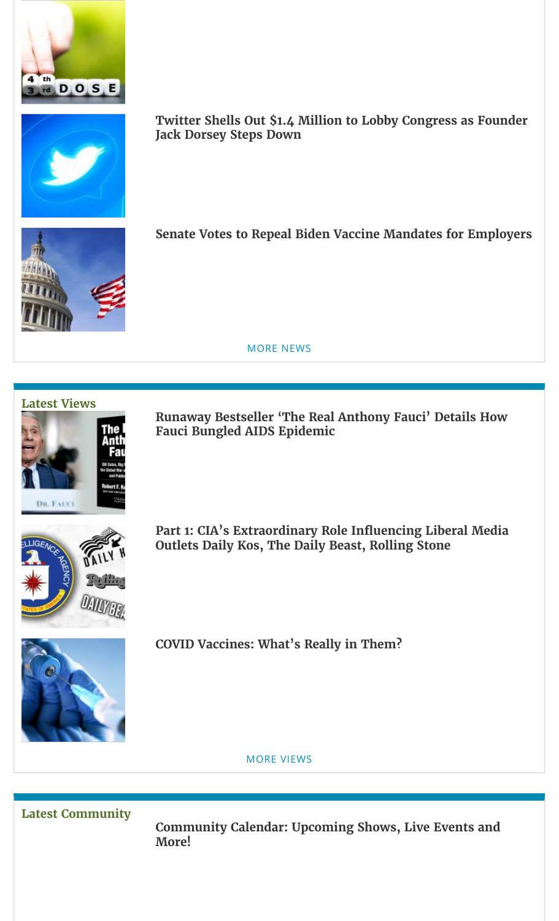



**Twitter Shells Out \$1.4 Million to Lobby [Congress as Founder](https://childrenshealthdefense.org/defender/twitter-jack-dorsey-federal-lobbying-spending/) Jack Dorsey Steps Down**



**Senate Votes to Repeal Biden Vaccine [Mandates for](https://childrenshealthdefense.org/defender/senate-vote-repeal-biden-vaccine-mandates-employers/) Employers**



## **[Latest](https://childrenshealthdefense.org/defender-views) Views**



**Runaway Bestseller 'The Real Anthony Fauci' [Details How](https://childrenshealthdefense.org/defender/bestseller-robert-f-kennedy-jr-the-real-anthony-fauci-aids-epidemic/) Fauci Bungled AIDS Epidemic**



**Part 1: [CIA's Extraordinary](https://childrenshealthdefense.org/defender/cia-liberal-media-outlets-the-real-anthony-fauci/) Role Influencing Liberal Media Outlets Daily Kos, The Daily Beast, Rolling Stone**



**COVID Vaccines: [What's Really](https://childrenshealthdefense.org/defender/covid-vaccines-composition-proper-informed-consent/) in Them?**

MORE [VIEWS](https://childrenshealthdefense.org/defender-views)

**Latest [Community](https://childrenshealthdefense.org/community)**

**[Community](https://live.childrenshealthdefense.org/community/community-calendar) Calendar: Upcoming Shows, Live Events and More!**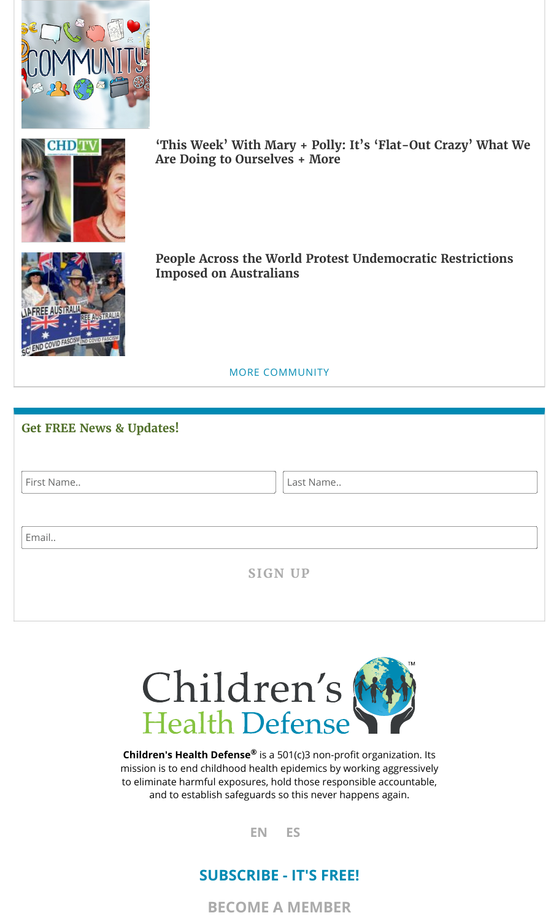



**'This Week' With Mary + Polly: [It's 'Flat-Out](https://childrenshealthdefense.org/defender/cd-tv-mary-polly-covid-south-africa-omicron-children/) Crazy' What We Are Doing to Ourselves + More**



**People Across the World Protest [Undemocratic](https://childrenshealthdefense.org/defender/world-protest-australia-sos-covid-lockdowns-vaccination-quarantine-facilities/) Restrictions Imposed on Australians**

MORE [COMMUNITY](https://childrenshealthdefense.org/community)

| <b>Get FREE News &amp; Updates!</b> |                |
|-------------------------------------|----------------|
| First Name                          | Last Name      |
| Email                               |                |
|                                     | <b>SIGN UP</b> |



**Children's Health Defense**® is a 501(c)3 non-profit organization. Its mission is to end childhood health epidemics by working aggressively to eliminate harmful exposures, hold those responsible accountable, and to establish safeguards so this never happens again.

**[EN](https://childrenshealthdefense.org/defender/bobby-amy-bolin-lung-transplant-dies-moderna-covid-vaccine/) [ES](https://childrenshealthdefense.org/defender/exclusiva-obligado-a-vacunarse-para-seguir-en-la-lista-de-trasplantes-de-pulmon-un-hombre-de-49-anos-que-sobrevivio-a-covid-muere-tras-la-segunda-inyeccion-de-moderna/?lang=es)**

# **[SUBSCRIBE](https://childrenshealthdefense.org/about-us/sign-up) - IT'S FREE!**

**BECOME A [MEMBER](https://childrenshealthdefense.org/about-us/membership)**